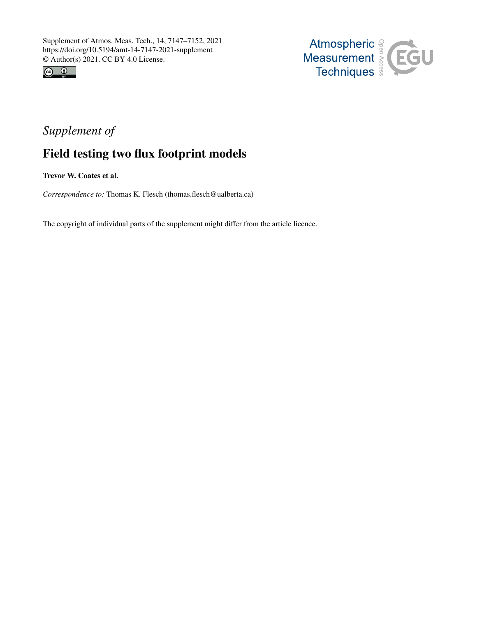



## *Supplement of*

## Field testing two flux footprint models

Trevor W. Coates et al.

*Correspondence to:* Thomas K. Flesch (thomas.flesch@ualberta.ca)

The copyright of individual parts of the supplement might differ from the article licence.